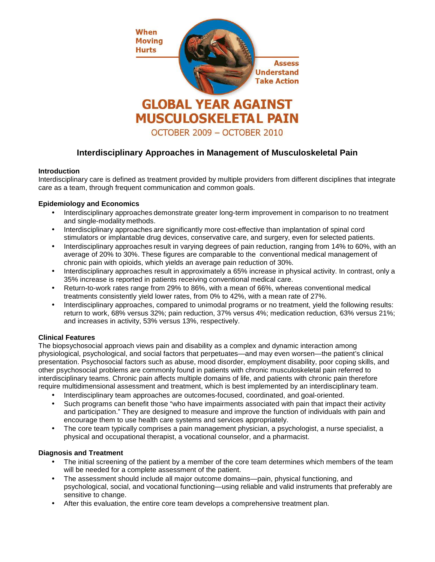

# **Interdisciplinary Approaches in Management of Musculoskeletal Pain**

## **Introduction**

Interdisciplinary care is defined as treatment provided by multiple providers from different disciplines that integrate care as a team, through frequent communication and common goals.

## **Epidemiology and Economics**

- Interdisciplinary approaches demonstrate greater long-term improvement in comparison to no treatment and single-modality methods.
- Interdisciplinary approaches are significantly more cost-effective than implantation of spinal cord stimulators or implantable drug devices, conservative care, and surgery, even for selected patients.
- Interdisciplinary approaches result in varying degrees of pain reduction, ranging from 14% to 60%, with an average of 20% to 30%. These figures are comparable to the conventional medical management of chronic pain with opioids, which yields an average pain reduction of 30%.
- Interdisciplinary approaches result in approximately a 65% increase in physical activity. In contrast, only a 35% increase is reported in patients receiving conventional medical care.
- Return-to-work rates range from 29% to 86%, with a mean of 66%, whereas conventional medical treatments consistently yield lower rates, from 0% to 42%, with a mean rate of 27%.
- Interdisciplinary approaches, compared to unimodal programs or no treatment, yield the following results: return to work, 68% versus 32%; pain reduction, 37% versus 4%; medication reduction, 63% versus 21%; and increases in activity, 53% versus 13%, respectively.

## **Clinical Features**

The biopsychosocial approach views pain and disability as a complex and dynamic interaction among physiological, psychological, and social factors that perpetuates—and may even worsen—the patient's clinical presentation. Psychosocial factors such as abuse, mood disorder, employment disability, poor coping skills, and other psychosocial problems are commonly found in patients with chronic musculoskeletal pain referred to interdisciplinary teams. Chronic pain affects multiple domains of life, and patients with chronic pain therefore require multidimensional assessment and treatment, which is best implemented by an interdisciplinary team.

- Interdisciplinary team approaches are outcomes-focused, coordinated, and goal-oriented.
- Such programs can benefit those "who have impairments associated with pain that impact their activity and participation." They are designed to measure and improve the function of individuals with pain and encourage them to use health care systems and services appropriately.
- The core team typically comprises a pain management physician, a psychologist, a nurse specialist, a physical and occupational therapist, a vocational counselor, and a pharmacist.

## **Diagnosis and Treatment**

- The initial screening of the patient by a member of the core team determines which members of the team will be needed for a complete assessment of the patient.
- The assessment should include all major outcome domains—pain, physical functioning, and psychological, social, and vocational functioning—using reliable and valid instruments that preferably are sensitive to change.
- After this evaluation, the entire core team develops a comprehensive treatment plan.